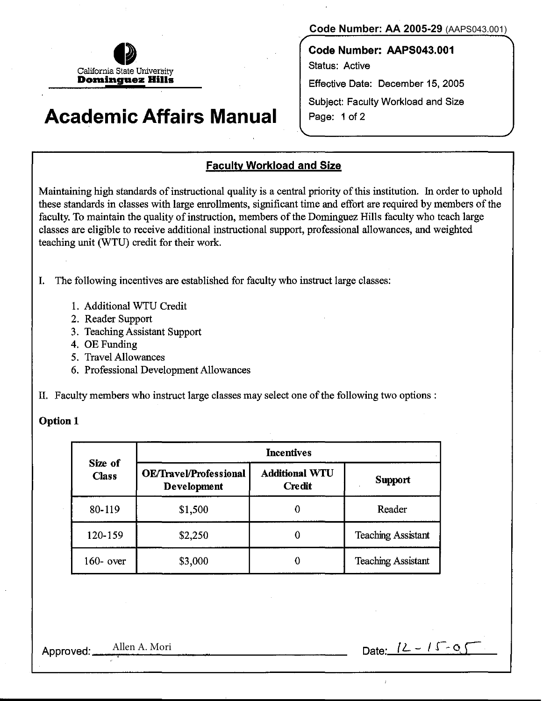

## **Academic Affairs Manual**

**Code Number: AA 2005-29** (AAPS043.001)

**Code Number: AAPS043.001**  Status: Active Effective Date: December 15, 2005 Subject: Faculty Workload and Size Page: 1 of 2

#### **Faculty Workload and Size**

Maintaining high standards of instructional quality is a central priority of this institution. In order to uphold these standards in classes with large enrollments, significant time and effort are required by members of the faculty. To maintain the quality of instruction, members of the Dominguez Hills faculty who teach large classes are eligible to receive additional instructional support, professional allowances, and weighted teaching unit (WTU) credit for their work.

I. The following incentives are established for faculty who instruct large classes:

- 1. Additional WTU Credit
- 2. Reader Support
- 3. Teaching Assistant Support
- 4. OE Funding
- 5. Travel Allowances
- 6. Professional Development Allowances

II. Faculty members who instruct large classes may select one ofthe following two options :

#### Option 1

| Size of<br><b>Class</b> | <b>Incentives</b>                                   |                                        |                           |  |
|-------------------------|-----------------------------------------------------|----------------------------------------|---------------------------|--|
|                         | <b>OE/Travel/Professional</b><br><b>Development</b> | <b>Additional WTU</b><br><b>Credit</b> | <b>Support</b>            |  |
| 80-119                  | \$1,500                                             |                                        | Reader                    |  |
| 120-159                 | \$2,250                                             |                                        | <b>Teaching Assistant</b> |  |
| $160 - over$            | \$3,000                                             |                                        | <b>Teaching Assistant</b> |  |

Approved: Allen A. Mori Date:  $12 - 15 - 0.5$